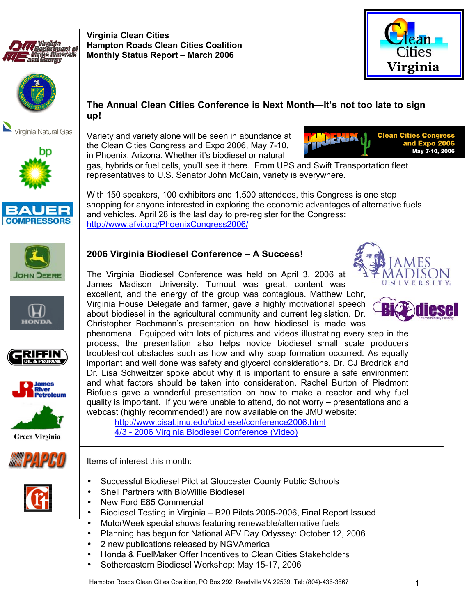



Virginia Natural Gas







Variety and variety alone will be seen in abundance at the Clean Cities Congress and Expo 2006, May 7-10, in Phoenix, Arizona. Whether it's biodiesel or natural

**Virginia Clean Cities** 

**Hampton Roads Clean Cities Coalition Monthly Status Report - March 2006** 



gas, hybrids or fuel cells, you'll see it there. From UPS and Swift Transportation fleet representatives to U.S. Senator John McCain, variety is everywhere.

With 150 speakers, 100 exhibitors and 1,500 attendees, this Congress is one stop shopping for anyone interested in exploring the economic advantages of alternative fuels and vehicles. April 28 is the last day to pre-register for the Congress: http://www.afvi.org/PhoenixCongress2006/

















# **2006 Virginia Biodiesel Conference - A Success!**

The Virginia Biodiesel Conference was held on April 3, 2006 at James Madison University. Turnout was great, content was excellent, and the energy of the group was contagious. Matthew Lohr, Virginia House Delegate and farmer, gave a highly motivational speech about biodiesel in the agricultural community and current legislation. Dr. Christopher Bachmannís presentation on how biodiesel is made was

phenomenal. Equipped with lots of pictures and videos illustrating every step in the process, the presentation also helps novice biodiesel small scale producers troubleshoot obstacles such as how and why soap formation occurred. As equally important and well done was safety and glycerol considerations. Dr. CJ Brodrick and Dr. Lisa Schweitzer spoke about why it is important to ensure a safe environment and what factors should be taken into consideration. Rachel Burton of Piedmont Biofuels gave a wonderful presentation on how to make a reactor and why fuel quality is important. If you were unable to attend, do not worry  $-$  presentations and a webcast (highly recommended!) are now available on the JMU website:

http://www.cisat.jmu.edu/biodiesel/conference2006.html 4/3 - 2006 Virginia Biodiesel Conference (Video)

Items of interest this month:

- Successful Biodiesel Pilot at Gloucester County Public Schools
- Shell Partners with BioWillie Biodiesel
- New Ford E85 Commercial
- Biodiesel Testing in Virginia B20 Pilots 2005-2006, Final Report Issued
- MotorWeek special shows featuring renewable/alternative fuels
- Planning has begun for National AFV Day Odyssey: October 12, 2006
- 2 new publications released by NGVAmerica
- Honda & FuelMaker Offer Incentives to Clean Cities Stakeholders
- Sothereastern Biodiesel Workshop: May 15-17, 2006





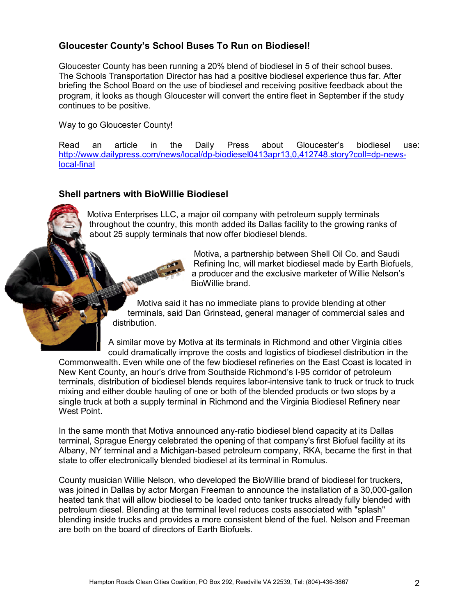### **Gloucester Countyís School Buses To Run on Biodiesel!**

Gloucester County has been running a 20% blend of biodiesel in 5 of their school buses. The Schools Transportation Director has had a positive biodiesel experience thus far. After briefing the School Board on the use of biodiesel and receiving positive feedback about the program, it looks as though Gloucester will convert the entire fleet in September if the study continues to be positive.

Way to go Gloucester County!

Read an article in the Daily Press about Gloucester's biodiesel use: http://www.dailypress.com/news/local/dp-biodiesel0413apr13,0,412748.story?coll=dp-newslocal-final

### **Shell partners with BioWillie Biodiesel**

Motiva Enterprises LLC, a major oil company with petroleum supply terminals throughout the country, this month added its Dallas facility to the growing ranks of about 25 supply terminals that now offer biodiesel blends.

> Motiva, a partnership between Shell Oil Co. and Saudi Refining Inc, will market biodiesel made by Earth Biofuels, a producer and the exclusive marketer of Willie Nelson's BioWillie brand.

Motiva said it has no immediate plans to provide blending at other terminals, said Dan Grinstead, general manager of commercial sales and distribution.

A similar move by Motiva at its terminals in Richmond and other Virginia cities could dramatically improve the costs and logistics of biodiesel distribution in the Commonwealth. Even while one of the few biodiesel refineries on the East Coast is located in New Kent County, an hour's drive from Southside Richmond's I-95 corridor of petroleum terminals, distribution of biodiesel blends requires labor-intensive tank to truck or truck to truck mixing and either double hauling of one or both of the blended products or two stops by a single truck at both a supply terminal in Richmond and the Virginia Biodiesel Refinery near West Point.

In the same month that Motiva announced any-ratio biodiesel blend capacity at its Dallas terminal, Sprague Energy celebrated the opening of that company's first Biofuel facility at its Albany, NY terminal and a Michigan-based petroleum company, RKA, became the first in that state to offer electronically blended biodiesel at its terminal in Romulus.

County musician Willie Nelson, who developed the BioWillie brand of biodiesel for truckers, was joined in Dallas by actor Morgan Freeman to announce the installation of a 30,000-gallon heated tank that will allow biodiesel to be loaded onto tanker trucks already fully blended with petroleum diesel. Blending at the terminal level reduces costs associated with "splash" blending inside trucks and provides a more consistent blend of the fuel. Nelson and Freeman are both on the board of directors of Earth Biofuels.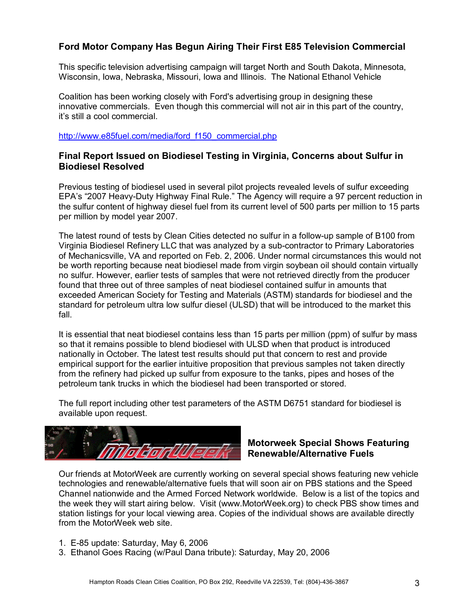## **Ford Motor Company Has Begun Airing Their First E85 Television Commercial**

This specific television advertising campaign will target North and South Dakota, Minnesota, Wisconsin, Iowa, Nebraska, Missouri, Iowa and Illinois. The National Ethanol Vehicle

Coalition has been working closely with Ford's advertising group in designing these innovative commercials. Even though this commercial will not air in this part of the country, it's still a cool commercial.

http://www.e85fuel.com/media/ford\_f150\_commercial.php

### **Final Report Issued on Biodiesel Testing in Virginia, Concerns about Sulfur in Biodiesel Resolved**

Previous testing of biodiesel used in several pilot projects revealed levels of sulfur exceeding EPA's "2007 Heavy-Duty Highway Final Rule." The Agency will require a 97 percent reduction in the sulfur content of highway diesel fuel from its current level of 500 parts per million to 15 parts per million by model year 2007.

The latest round of tests by Clean Cities detected no sulfur in a follow-up sample of B100 from Virginia Biodiesel Refinery LLC that was analyzed by a sub-contractor to Primary Laboratories of Mechanicsville, VA and reported on Feb. 2, 2006. Under normal circumstances this would not be worth reporting because neat biodiesel made from virgin soybean oil should contain virtually no sulfur. However, earlier tests of samples that were not retrieved directly from the producer found that three out of three samples of neat biodiesel contained sulfur in amounts that exceeded American Society for Testing and Materials (ASTM) standards for biodiesel and the standard for petroleum ultra low sulfur diesel (ULSD) that will be introduced to the market this fall.

It is essential that neat biodiesel contains less than 15 parts per million (ppm) of sulfur by mass so that it remains possible to blend biodiesel with ULSD when that product is introduced nationally in October. The latest test results should put that concern to rest and provide empirical support for the earlier intuitive proposition that previous samples not taken directly from the refinery had picked up sulfur from exposure to the tanks, pipes and hoses of the petroleum tank trucks in which the biodiesel had been transported or stored.

The full report including other test parameters of the ASTM D6751 standard for biodiesel is available upon request.



### **Motorweek Special Shows Featuring Renewable/Alternative Fuels**

Our friends at MotorWeek are currently working on several special shows featuring new vehicle technologies and renewable/alternative fuels that will soon air on PBS stations and the Speed Channel nationwide and the Armed Forced Network worldwide. Below is a list of the topics and the week they will start airing below. Visit (www.MotorWeek.org) to check PBS show times and station listings for your local viewing area. Copies of the individual shows are available directly from the MotorWeek web site.

- 1. E-85 update: Saturday, May 6, 2006
- 3. Ethanol Goes Racing (w/Paul Dana tribute): Saturday, May 20, 2006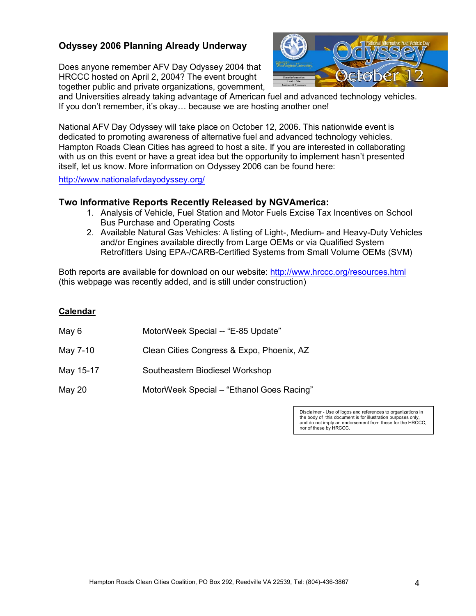### **Odyssey 2006 Planning Already Underway**

Does anyone remember AFV Day Odyssey 2004 that HRCCC hosted on April 2, 2004? The event brought together public and private organizations, government,



and Universities already taking advantage of American fuel and advanced technology vehicles. If you don't remember, it's okay... because we are hosting another one!

National AFV Day Odyssey will take place on October 12, 2006. This nationwide event is dedicated to promoting awareness of alternative fuel and advanced technology vehicles. Hampton Roads Clean Cities has agreed to host a site. If you are interested in collaborating with us on this event or have a great idea but the opportunity to implement hasn't presented itself, let us know. More information on Odyssey 2006 can be found here:

http://www.nationalafvdayodyssey.org/

### **Two Informative Reports Recently Released by NGVAmerica:**

- 1. Analysis of Vehicle, Fuel Station and Motor Fuels Excise Tax Incentives on School Bus Purchase and Operating Costs
- 2. Available Natural Gas Vehicles: A listing of Light-, Medium- and Heavy-Duty Vehicles and/or Engines available directly from Large OEMs or via Qualified System Retrofitters Using EPA-/CARB-Certified Systems from Small Volume OEMs (SVM)

Both reports are available for download on our website: http://www.hrccc.org/resources.html (this webpage was recently added, and is still under construction)

#### **Calendar**

- May 6 MotorWeek Special -- "E-85 Update"
- May 7-10 Clean Cities Congress & Expo, Phoenix, AZ
- May 15-17 Southeastern Biodiesel Workshop

May 20 MotorWeek Special – "Ethanol Goes Racing"

Disclaimer - Use of logos and references to organizations in the body of this document is for illustration purposes only, and do not imply an endorsement from these for the HRCCC, nor of these by HRCCC.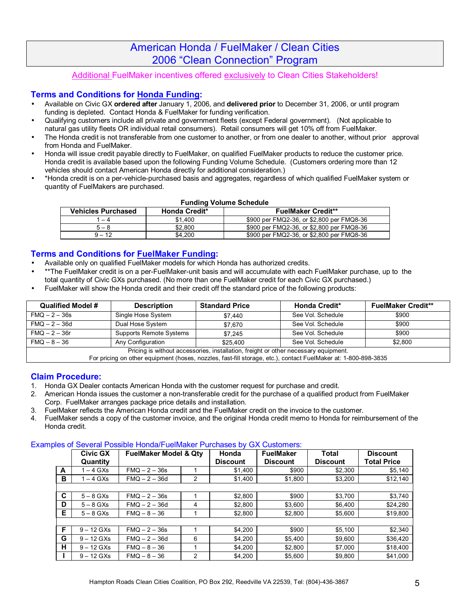# American Honda / FuelMaker / Clean Cities 2006 "Clean Connection" Program

### Additional FuelMaker incentives offered exclusively to Clean Cities Stakeholders!

### **Terms and Conditions for Honda Funding:**

- Available on Civic GX **ordered after** January 1, 2006, and **delivered prior** to December 31, 2006, or until program funding is depleted. Contact Honda & FuelMaker for funding verification.
- Qualifying customers include all private and government fleets (except Federal government). (Not applicable to natural gas utility fleets OR individual retail consumers). Retail consumers will get 10% off from FuelMaker.
- The Honda credit is not transferable from one customer to another, or from one dealer to another, without prior approval from Honda and FuelMaker.
- Honda will issue credit payable directly to FuelMaker, on qualified FuelMaker products to reduce the customer price. Honda credit is available based upon the following Funding Volume Schedule. (Customers ordering more than 12 vehicles should contact American Honda directly for additional consideration.)
- \*Honda credit is on a per-vehicle-purchased basis and aggregates, regardless of which qualified FuelMaker system or quantity of FuelMakers are purchased.

#### **Funding Volume Schedule**

| <b>Vehicles Purchased</b><br><b>Honda Credit*</b> |         | <b>FuelMaker Credit**</b>                 |  |  |
|---------------------------------------------------|---------|-------------------------------------------|--|--|
| 1 – 4                                             | \$1.400 | \$900 per FMQ2-36, or \$2,800 per FMQ8-36 |  |  |
| $5 - 8$                                           | \$2.800 | \$900 per FMQ2-36, or \$2,800 per FMQ8-36 |  |  |
| $9 - 12$                                          | \$4.200 | \$900 per FMQ2-36, or \$2,800 per FMQ8-36 |  |  |

#### **Terms and Conditions for FuelMaker Funding:**

- Available only on qualified FuelMaker models for which Honda has authorized credits.
- \*\*The FuelMaker credit is on a per-FuelMaker-unit basis and will accumulate with each FuelMaker purchase, up to the total quantity of Civic GXs purchased. (No more than one FuelMaker credit for each Civic GX purchased.)
- FuelMaker will show the Honda credit and their credit off the standard price of the following products:

| Qualified Model #<br><b>Description</b>                                             |                         | <b>Standard Price</b> | <b>Honda Credit*</b> | <b>FuelMaker Credit**</b> |  |  |  |
|-------------------------------------------------------------------------------------|-------------------------|-----------------------|----------------------|---------------------------|--|--|--|
| $FMQ - 2 - 36s$                                                                     | Single Hose System      | \$7.440               | See Vol. Schedule    | \$900                     |  |  |  |
| $FMQ - 2 - 36d$                                                                     | Dual Hose System        | \$7.670               | See Vol. Schedule    | \$900                     |  |  |  |
| $FMO - 2 - 36r$                                                                     | Supports Remote Systems | \$7.245               | See Vol. Schedule    | \$900                     |  |  |  |
| $FMQ - 8 - 36$                                                                      | Any Configuration       | \$25,400              | See Vol. Schedule    | \$2,800                   |  |  |  |
| Pricing is without accessories, installation, freight or other necessary equipment. |                         |                       |                      |                           |  |  |  |

For pricing on other equipment (hoses, nozzles, fast-fill storage, etc.), contact FuelMaker at: 1-800-898-3835

### **Claim Procedure:**

- 1. Honda GX Dealer contacts American Honda with the customer request for purchase and credit.
- 2. American Honda issues the customer a non-transferable credit for the purchase of a qualified product from FuelMaker Corp. FuelMaker arranges package price details and installation.
- 3. FuelMaker reflects the American Honda credit and the FuelMaker credit on the invoice to the customer.
- 4. FuelMaker sends a copy of the customer invoice, and the original Honda credit memo to Honda for reimbursement of the Honda credit.

#### Examples of Several Possible Honda/FuelMaker Purchases by GX Customers:

|   | <b>Civic GX</b> | <b>FuelMaker Model &amp; Qty</b> |   | Honda           | <b>FuelMaker</b> | Total           | <b>Discount</b>    |
|---|-----------------|----------------------------------|---|-----------------|------------------|-----------------|--------------------|
|   | Quantity        |                                  |   | <b>Discount</b> | <b>Discount</b>  | <b>Discount</b> | <b>Total Price</b> |
| A | $-4$ GXs        | $FMO - 2 - 36s$                  |   | \$1.400         | \$900            | \$2.300         | \$5,140            |
| в | $-4$ GXs        | $FMQ - 2 - 36d$                  | 2 | \$1.400         | \$1,800          | \$3,200         | \$12,140           |
|   |                 |                                  |   |                 |                  |                 |                    |
| C | $5 - 8$ GXs     | $FMO - 2 - 36s$                  |   | \$2,800         | \$900            | \$3,700         | \$3,740            |
| D | $5 - 8$ GXs     | $FMO - 2 - 36d$                  | 4 | \$2.800         | \$3,600          | \$6.400         | \$24,280           |
| Е | $5 - 8$ GXs     | $FMQ - 8 - 36$                   |   | \$2,800         | \$2,800          | \$5,600         | \$19,800           |
|   |                 |                                  |   |                 |                  |                 |                    |
| F | $9 - 12$ GXs    | $FMQ - 2 - 36s$                  |   | \$4.200         | \$900            | \$5,100         | \$2,340            |
| G | $9 - 12$ GXs    | $FMO - 2 - 36d$                  | 6 | \$4.200         | \$5,400          | \$9,600         | \$36,420           |
| н | $9 - 12$ GXs    | $FMQ - 8 - 36$                   |   | \$4.200         | \$2,800          | \$7,000         | \$18,400           |
|   | $9 - 12$ GXs    | $FMQ - 8 - 36$                   | 2 | \$4.200         | \$5,600          | \$9,800         | \$41,000           |